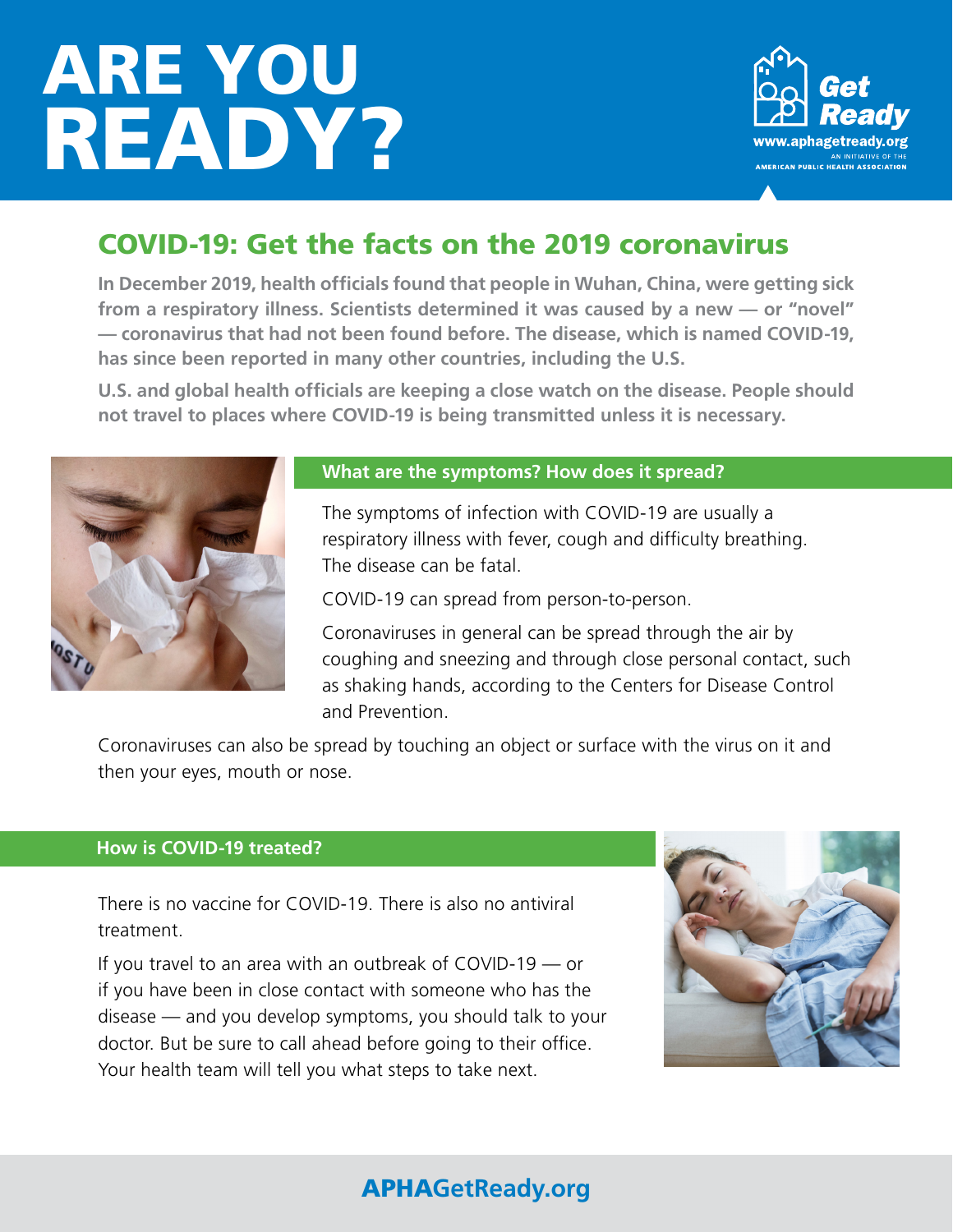# ARE YOU READY?



## COVID-19: Get the facts on the 2019 coronavirus

**In December 2019, health officials found that people in Wuhan, China, were getting sick from a respiratory illness. Scientists determined it was caused by a new — or "novel" — coronavirus that had not been found before. The disease, which is named COVID-19, has since been reported in many other countries, including the U.S.** 

**U.S. and global health officials are keeping a close watch on the disease. People should not travel to places where COVID-19 is being transmitted unless it is necessary.**



## **What are the symptoms? How does it spread?**

The symptoms of infection with COVID-19 are usually a respiratory illness with fever, cough and difficulty breathing. The disease can be fatal.

COVID-19 can spread from person-to-person.

Coronaviruses in general can be spread through the air by coughing and sneezing and through close personal contact, such as shaking hands, according to the Centers for Disease Control and Prevention.

Coronaviruses can also be spread by touching an object or surface with the virus on it and then your eyes, mouth or nose.

#### **How is COVID-19 treated?**

There is no vaccine for COVID-19. There is also no antiviral treatment.

If you travel to an area with an outbreak of COVID-19 — or if you have been in close contact with someone who has the disease — and you develop symptoms, you should talk to your doctor. But be sure to call ahead before going to their office. Your health team will tell you what steps to take next.



## APHA**GetReady.org**